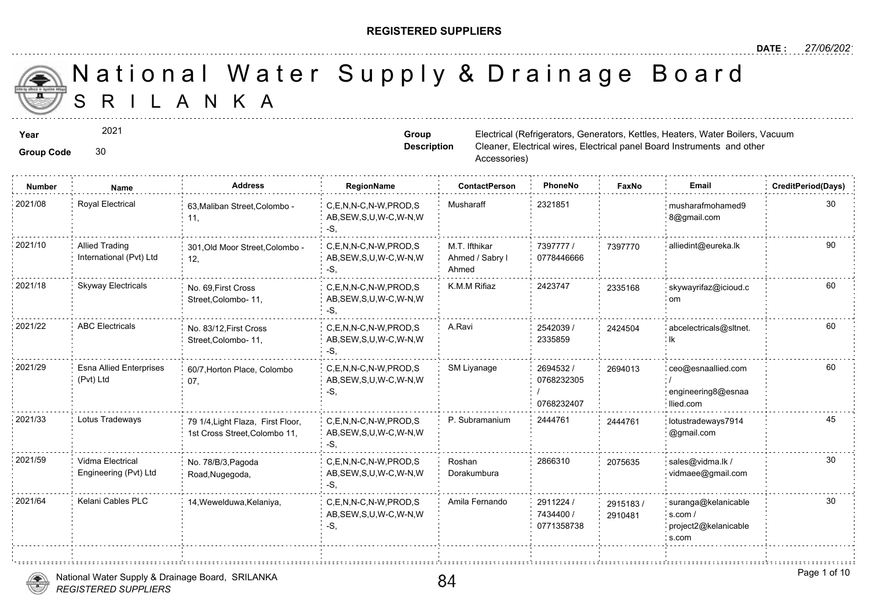#### **REGISTERED SUPPLIERS**

# S R I L A N K A National Water Supply & Drainage

| Year<br><b>Group Code</b> | 2021<br>30                                       |                                                                    | Group                                                        | Electrical (Refrigerators, Generators, K<br><b>Description</b><br>Cleaner, Electrical wires, Electrical par<br>Accessories) |                                       |                  |  |  |
|---------------------------|--------------------------------------------------|--------------------------------------------------------------------|--------------------------------------------------------------|-----------------------------------------------------------------------------------------------------------------------------|---------------------------------------|------------------|--|--|
| <b>Number</b>             | Name                                             | <b>Address</b>                                                     | RegionName                                                   | <b>ContactPerson</b>                                                                                                        | PhoneNo                               | Faxl             |  |  |
| 2021/08                   | Royal Electrical                                 | 63, Maliban Street, Colombo -<br>11,                               | C,E,N,N-C,N-W,PROD,S<br>AB, SEW, S, U, W-C, W-N, W<br>$-S,$  | Musharaff                                                                                                                   | 2321851                               |                  |  |  |
| 2021/10                   | <b>Allied Trading</b><br>International (Pvt) Ltd | 301, Old Moor Street, Colombo -<br>12,                             | C,E,N,N-C,N-W,PROD,S<br>AB, SEW, S, U, W-C, W-N, W<br>$-S$ , | M.T. Ifthikar<br>Ahmed / Sabry I<br>Ahmed                                                                                   | 7397777 /<br>0778446666               | 739777           |  |  |
| 2021/18                   | <b>Skyway Electricals</b>                        | No. 69, First Cross<br>Street, Colombo- 11,                        | C,E,N,N-C,N-W,PROD,S<br>AB, SEW, S, U, W-C, W-N, W<br>-S,    | K.M.M Rifiaz                                                                                                                | 2423747                               | 233516           |  |  |
| 2021/22                   | <b>ABC Electricals</b>                           | No. 83/12, First Cross<br>Street, Colombo- 11,                     | C,E,N,N-C,N-W,PROD,S<br>AB, SEW, S, U, W-C, W-N, W<br>-S,    | A.Ravi                                                                                                                      | 2542039 /<br>2335859                  | 242450           |  |  |
| 2021/29                   | <b>Esna Allied Enterprises</b><br>(Pvt) Ltd      | 60/7, Horton Place, Colombo<br>07,                                 | C.E.N.N-C.N-W.PROD.S<br>AB, SEW, S, U, W-C, W-N, W<br>$-S,$  | SM Liyanage                                                                                                                 | 2694532 /<br>0768232305<br>0768232407 | 269401           |  |  |
| 2021/33                   | Lotus Tradeways                                  | 79 1/4, Light Flaza, First Floor,<br>1st Cross Street, Colombo 11, | C,E,N,N-C,N-W,PROD,S<br>AB, SEW, S, U, W-C, W-N, W<br>-S.    | P. Subramanium                                                                                                              | 2444761                               | 244476           |  |  |
| 2021/59                   | Vidma Electrical<br>Engineering (Pvt) Ltd        | No. 78/B/3, Pagoda<br>Road, Nugegoda,                              | C,E,N,N-C,N-W,PROD,S<br>AB, SEW, S, U, W-C, W-N, W<br>-S.    | Roshan<br>Dorakumbura                                                                                                       | 2866310                               | 207563           |  |  |
| 2021/64                   | Kelani Cables PLC                                | 14, Wewelduwa, Kelaniya,                                           | C,E,N,N-C,N-W,PROD,S<br>AB, SEW, S, U, W-C, W-N, W<br>$-S,$  | Amila Fernando                                                                                                              | 2911224 /<br>7434400 /<br>0771358738  | 291518<br>291048 |  |  |
|                           |                                                  |                                                                    |                                                              |                                                                                                                             |                                       |                  |  |  |

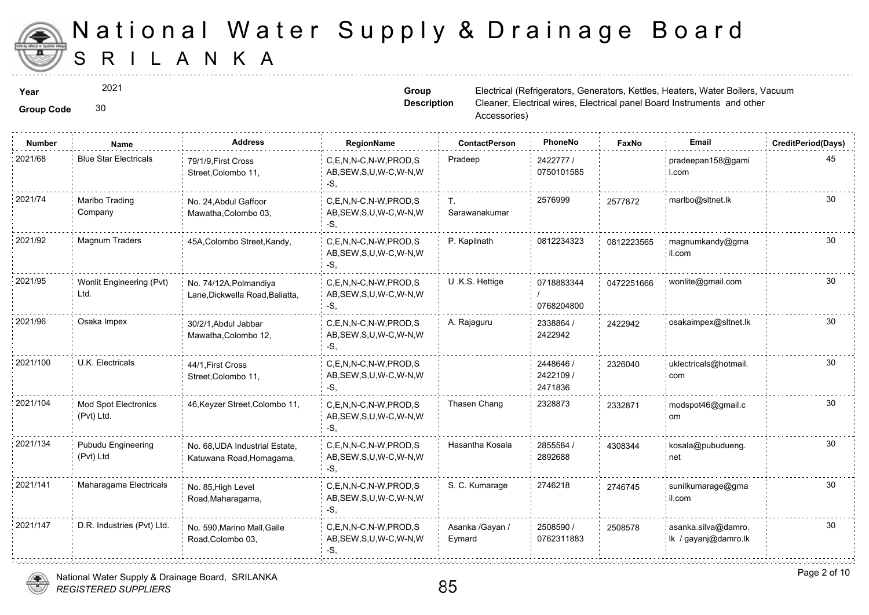

2021

Group Code 30

**Group Description**

**Year** Electrical (Refrigerators, Generators, Kettles, Heaters, Heaters, Actor Boilers, Heaters, Generators, Material (Refrigerators, Generators, Heaters, Actor Boilers, Actor Boilers, Material (Refrigerators, Generators, Cleaner, Electrical wires, Electrical par Accessories)

| 2021/68<br><b>Blue Star Electricals</b><br>Pradeep<br>C.E.N.N-C.N-W.PROD.S<br>2422777/<br>79/1/9. First Cross<br>0750101585<br>AB, SEW, S, U, W-C, W-N, W<br>Street, Colombo 11,<br>-S.<br>2021/74<br>2576999<br>Marlbo Trading<br>C,E,N,N-C,N-W,PROD,S<br>No. 24, Abdul Gaffoor<br>Т.<br>257787<br>Sarawanakumar<br>Company<br>AB, SEW, S, U, W-C, W-N, W<br>Mawatha, Colombo 03,<br>-S.<br>2021/92<br>Magnum Traders<br>P. Kapilnath<br>0812234323<br>45A, Colombo Street, Kandy,<br>C.E.N.N-C.N-W.PROD.S<br>081222<br>AB, SEW, S, U, W-C, W-N, W<br>-S.<br>2021/95<br>Wonlit Engineering (Pvt)<br>U .K.S. Hettige<br>C.E.N.N-C.N-W.PROD.S<br>0718883344<br>047225<br>No. 74/12A, Polmandiya<br>Ltd.<br>AB, SEW, S, U, W-C, W-N, W<br>Lane, Dickwella Road, Baliatta,<br>0768204800<br>-S.<br>2021/96<br>Osaka Impex<br>A. Rajaguru<br>C,E,N,N-C,N-W,PROD,S<br>2338864 /<br>242294<br>30/2/1, Abdul Jabbar<br>2422942<br>AB, SEW, S, U, W-C, W-N, W<br>Mawatha, Colombo 12,<br>-S,<br>2021/100<br><b>U.K. Electricals</b><br>C.E.N.N-C.N-W.PROD.S<br>2448646 /<br>44/1, First Cross<br>232604<br>2422109 /<br>AB, SEW, S, U, W-C, W-N, W<br>Street, Colombo 11,<br>2471836<br>-S.<br>2021/104<br>2328873<br>Thasen Chang<br>Mod Spot Electronics<br>C,E,N,N-C,N-W,PROD,S<br>46, Keyzer Street, Colombo 11,<br>233287<br>(Pvt) Ltd.<br>AB, SEW, S, U, W-C, W-N, W<br>-S.<br>2021/134<br>Pubudu Engineering<br>Hasantha Kosala<br>2855584 /<br>C,E,N,N-C,N-W,PROD,S<br>No. 68, UDA Industrial Estate,<br>430834<br>(Pvt) Ltd<br>2892688<br>AB, SEW, S, U, W-C, W-N, W<br>Katuwana Road, Homagama,<br>-S.<br>2021/141<br>Maharagama Electricals<br>S. C. Kumarage<br>2746218<br>C.E.N.N-C.N-W.PROD.S<br>274674<br>No. 85, High Level<br>AB, SEW, S, U, W-C, W-N, W<br>Road, Maharagama,<br>-S.<br>2021/147<br>D.R. Industries (Pvt) Ltd.<br>C,E,N,N-C,N-W,PROD,S<br>Asanka /Gayan /<br>2508590 /<br>250857<br>No. 590, Marino Mall, Galle<br>0762311883<br>AB, SEW, S, U, W-C, W-N, W<br>Eymard<br>Road, Colombo 03, | <b>Number</b> | Name | <b>Address</b> | RegionName | <b>ContactPerson</b> | PhoneNo | Faxl |
|---------------------------------------------------------------------------------------------------------------------------------------------------------------------------------------------------------------------------------------------------------------------------------------------------------------------------------------------------------------------------------------------------------------------------------------------------------------------------------------------------------------------------------------------------------------------------------------------------------------------------------------------------------------------------------------------------------------------------------------------------------------------------------------------------------------------------------------------------------------------------------------------------------------------------------------------------------------------------------------------------------------------------------------------------------------------------------------------------------------------------------------------------------------------------------------------------------------------------------------------------------------------------------------------------------------------------------------------------------------------------------------------------------------------------------------------------------------------------------------------------------------------------------------------------------------------------------------------------------------------------------------------------------------------------------------------------------------------------------------------------------------------------------------------------------------------------------------------------------------------------------------------------------------------------------------------------------------------------------------------------------------------|---------------|------|----------------|------------|----------------------|---------|------|
|                                                                                                                                                                                                                                                                                                                                                                                                                                                                                                                                                                                                                                                                                                                                                                                                                                                                                                                                                                                                                                                                                                                                                                                                                                                                                                                                                                                                                                                                                                                                                                                                                                                                                                                                                                                                                                                                                                                                                                                                                     |               |      |                |            |                      |         |      |
|                                                                                                                                                                                                                                                                                                                                                                                                                                                                                                                                                                                                                                                                                                                                                                                                                                                                                                                                                                                                                                                                                                                                                                                                                                                                                                                                                                                                                                                                                                                                                                                                                                                                                                                                                                                                                                                                                                                                                                                                                     |               |      |                |            |                      |         |      |
|                                                                                                                                                                                                                                                                                                                                                                                                                                                                                                                                                                                                                                                                                                                                                                                                                                                                                                                                                                                                                                                                                                                                                                                                                                                                                                                                                                                                                                                                                                                                                                                                                                                                                                                                                                                                                                                                                                                                                                                                                     |               |      |                |            |                      |         |      |
|                                                                                                                                                                                                                                                                                                                                                                                                                                                                                                                                                                                                                                                                                                                                                                                                                                                                                                                                                                                                                                                                                                                                                                                                                                                                                                                                                                                                                                                                                                                                                                                                                                                                                                                                                                                                                                                                                                                                                                                                                     |               |      |                |            |                      |         |      |
|                                                                                                                                                                                                                                                                                                                                                                                                                                                                                                                                                                                                                                                                                                                                                                                                                                                                                                                                                                                                                                                                                                                                                                                                                                                                                                                                                                                                                                                                                                                                                                                                                                                                                                                                                                                                                                                                                                                                                                                                                     |               |      |                |            |                      |         |      |
|                                                                                                                                                                                                                                                                                                                                                                                                                                                                                                                                                                                                                                                                                                                                                                                                                                                                                                                                                                                                                                                                                                                                                                                                                                                                                                                                                                                                                                                                                                                                                                                                                                                                                                                                                                                                                                                                                                                                                                                                                     |               |      |                |            |                      |         |      |
|                                                                                                                                                                                                                                                                                                                                                                                                                                                                                                                                                                                                                                                                                                                                                                                                                                                                                                                                                                                                                                                                                                                                                                                                                                                                                                                                                                                                                                                                                                                                                                                                                                                                                                                                                                                                                                                                                                                                                                                                                     |               |      |                |            |                      |         |      |
|                                                                                                                                                                                                                                                                                                                                                                                                                                                                                                                                                                                                                                                                                                                                                                                                                                                                                                                                                                                                                                                                                                                                                                                                                                                                                                                                                                                                                                                                                                                                                                                                                                                                                                                                                                                                                                                                                                                                                                                                                     |               |      |                |            |                      |         |      |
|                                                                                                                                                                                                                                                                                                                                                                                                                                                                                                                                                                                                                                                                                                                                                                                                                                                                                                                                                                                                                                                                                                                                                                                                                                                                                                                                                                                                                                                                                                                                                                                                                                                                                                                                                                                                                                                                                                                                                                                                                     |               |      |                |            |                      |         |      |
|                                                                                                                                                                                                                                                                                                                                                                                                                                                                                                                                                                                                                                                                                                                                                                                                                                                                                                                                                                                                                                                                                                                                                                                                                                                                                                                                                                                                                                                                                                                                                                                                                                                                                                                                                                                                                                                                                                                                                                                                                     |               |      |                | -S,        |                      |         |      |



*REGISTERED SUPPLIERS* National Water Supply & Drainage Board, SRILANKA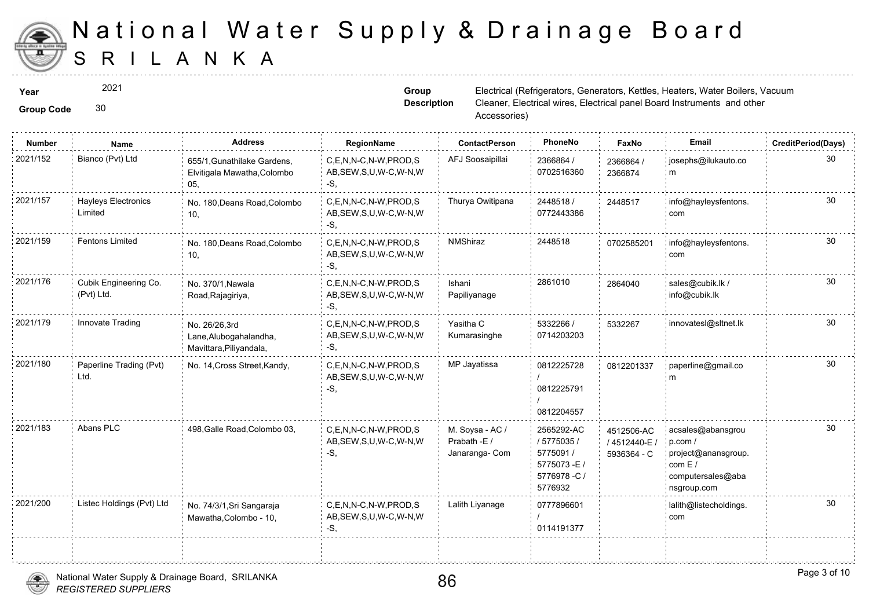

2021

Group Code 30

**Group Description**

**Year** Electrical (Refrigerators, Generators, Kettles, Heaters, Heaters, Actor Boilers, Heaters, Generators, Material (Refrigerators, Generators, Heaters, Actor Boilers, Actor Boilers, Material (Refrigerators, Generators, Cleaner, Electrical wires, Electrical par Accessories)

| <b>Number</b> | <b>Name</b>                           | <b>Address</b>                                                     | RegionName                                                   | <b>ContactPerson</b>                              | PhoneNo                                                                          | Fax                         |
|---------------|---------------------------------------|--------------------------------------------------------------------|--------------------------------------------------------------|---------------------------------------------------|----------------------------------------------------------------------------------|-----------------------------|
| 2021/152      | Bianco (Pvt) Ltd                      | 655/1, Gunathilake Gardens,<br>Elvitigala Mawatha, Colombo<br>05,  | C,E,N,N-C,N-W,PROD,S<br>AB, SEW, S, U, W-C, W-N, W<br>-S.    | AFJ Soosaipillai                                  | 2366864 /<br>0702516360                                                          | 236686<br>236687            |
| 2021/157      | <b>Hayleys Electronics</b><br>Limited | No. 180, Deans Road, Colombo<br>10,                                | C,E,N,N-C,N-W,PROD,S<br>AB, SEW, S, U, W-C, W-N, W<br>$-S$ . | Thurya Owitipana                                  | 2448518 /<br>0772443386                                                          | 244851                      |
| 2021/159      | <b>Fentons Limited</b>                | No. 180, Deans Road, Colombo<br>10,                                | C,E,N,N-C,N-W,PROD,S<br>AB, SEW, S, U, W-C, W-N, W<br>-S,    | NMShiraz                                          | 2448518                                                                          | 070258                      |
| 2021/176      | Cubik Engineering Co.<br>(Pvt) Ltd.   | No. 370/1, Nawala<br>Road, Rajagiriya,                             | C.E.N.N-C.N-W.PROD.S<br>AB, SEW, S, U, W-C, W-N, W<br>-S,    | Ishani<br>Papiliyanage                            | 2861010                                                                          | 286404                      |
| 2021/179      | Innovate Trading                      | No. 26/26,3rd<br>Lane, Alubogahalandha,<br>Mavittara, Piliyandala, | C,E,N,N-C,N-W,PROD,S<br>AB, SEW, S, U, W-C, W-N, W<br>-S.    | Yasitha C<br>Kumarasinghe                         | 5332266 /<br>0714203203                                                          | 533226                      |
| 2021/180      | Paperline Trading (Pvt)<br>Ltd.       | No. 14, Cross Street, Kandy,                                       | C,E,N,N-C,N-W,PROD,S<br>AB, SEW, S, U, W-C, W-N, W<br>-S.    | MP Jayatissa                                      | 0812225728<br>0812225791<br>0812204557                                           | 081220                      |
| 2021/183      | Abans PLC                             | 498, Galle Road, Colombo 03,                                       | C.E.N.N-C.N-W.PROD.S<br>AB, SEW, S, U, W-C, W-N, W<br>$-S$ , | M. Soysa - AC /<br>Prabath -E /<br>Janaranga- Com | 2565292-AC<br>/ 5775035 /<br>5775091 /<br>5775073-E/<br>5776978 - C /<br>5776932 | 451250<br>/ 45124<br>593636 |
| 2021/200      | Listec Holdings (Pvt) Ltd             | No. 74/3/1, Sri Sangaraja<br>Mawatha, Colombo - 10,                | C,E,N,N-C,N-W,PROD,S<br>AB, SEW, S, U, W-C, W-N, W<br>-S,    | Lalith Liyanage                                   | 0777896601<br>0114191377                                                         |                             |
|               |                                       |                                                                    |                                                              |                                                   |                                                                                  |                             |



÷.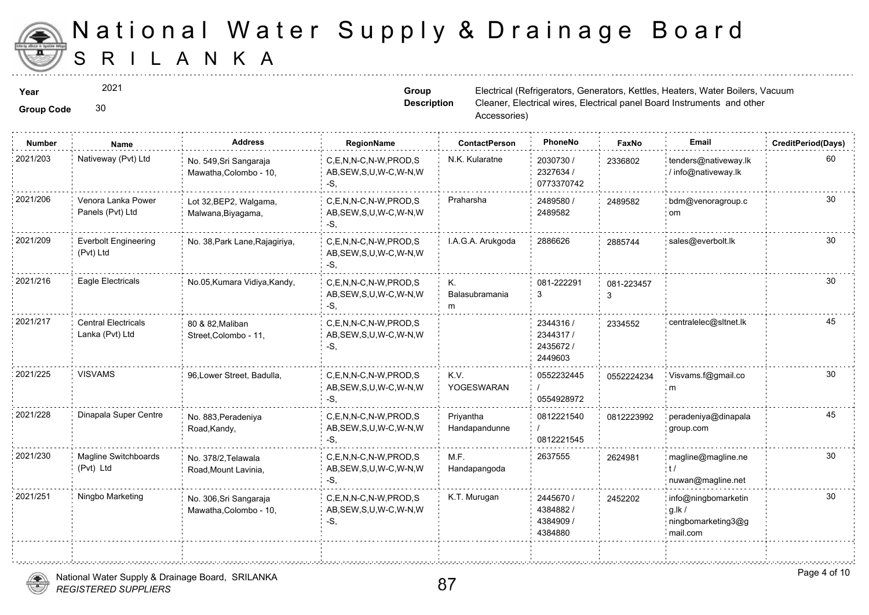

2021

Group Code 30

**Group Description**

| <b>Number</b> | Name                                          | <b>Address</b>                                   | RegionName                                                   | <b>ContactPerson</b>       | PhoneNo                                       | Faxl        |
|---------------|-----------------------------------------------|--------------------------------------------------|--------------------------------------------------------------|----------------------------|-----------------------------------------------|-------------|
| 2021/203      | Nativeway (Pvt) Ltd                           | No. 549, Sri Sangaraja<br>Mawatha, Colombo - 10, | C.E.N.N-C.N-W.PROD.S<br>AB, SEW, S, U, W-C, W-N, W<br>-S.    | N.K. Kularatne             | 2030730/<br>2327634 /<br>0773370742           | 233680      |
| 2021/206      | Venora Lanka Power<br>Panels (Pvt) Ltd        | Lot 32, BEP2, Walgama,<br>Malwana, Biyagama,     | C,E,N,N-C,N-W,PROD,S<br>AB, SEW, S, U, W-C, W-N, W<br>$-S$ . | Praharsha                  | 2489580 /<br>2489582                          | 248958      |
| 2021/209      | <b>Everbolt Engineering</b><br>(Pvt) Ltd      | No. 38, Park Lane, Rajagiriya,                   | C,E,N,N-C,N-W,PROD,S<br>AB, SEW, S, U, W-C, W-N, W<br>-S.    | I.A.G.A. Arukgoda          | 2886626                                       | 288574      |
| 2021/216      | Eagle Electricals                             | No.05, Kumara Vidiya, Kandy,                     | C.E.N.N-C.N-W.PROD.S<br>AB, SEW, S, U, W-C, W-N, W<br>$-S$ . | Κ.<br>Balasubramania<br>m  | 081-222291<br>3                               | 081-22<br>3 |
| 2021/217      | <b>Central Electricals</b><br>Lanka (Pvt) Ltd | 80 & 82, Maliban<br>Street, Colombo - 11,        | C,E,N,N-C,N-W,PROD,S<br>AB, SEW, S, U, W-C, W-N, W<br>$-S$ . |                            | 2344316 /<br>2344317/<br>2435672 /<br>2449603 | 233455      |
| 2021/225      | <b>VISVAMS</b>                                | 96, Lower Street, Badulla,                       | C,E,N,N-C,N-W,PROD,S<br>AB, SEW, S, U, W-C, W-N, W<br>$-S$ . | K.V.<br>YOGESWARAN         | 0552232445<br>0554928972                      | 055222      |
| 2021/228      | Dinapala Super Centre                         | No. 883, Peradeniya<br>Road, Kandy,              | C.E.N.N-C.N-W.PROD.S<br>AB, SEW, S, U, W-C, W-N, W<br>-S.    | Privantha<br>Handapandunne | 0812221540<br>0812221545                      | 081222      |
| 2021/230      | Magline Switchboards<br>(Pvt) Ltd             | No. 378/2, Telawala<br>Road, Mount Lavinia,      | C,E,N,N-C,N-W,PROD,S<br>AB, SEW, S, U, W-C, W-N, W<br>$-S$ . | M.F.<br>Handapangoda       | 2637555                                       | 262498      |
| 2021/251      | Ningbo Marketing                              | No. 306, Sri Sangaraja<br>Mawatha, Colombo - 10, | C,E,N,N-C,N-W,PROD,S<br>AB, SEW, S, U, W-C, W-N, W<br>$-S$ , | K.T. Murugan               | 2445670 /<br>4384882/<br>4384909 /<br>4384880 | 245220      |



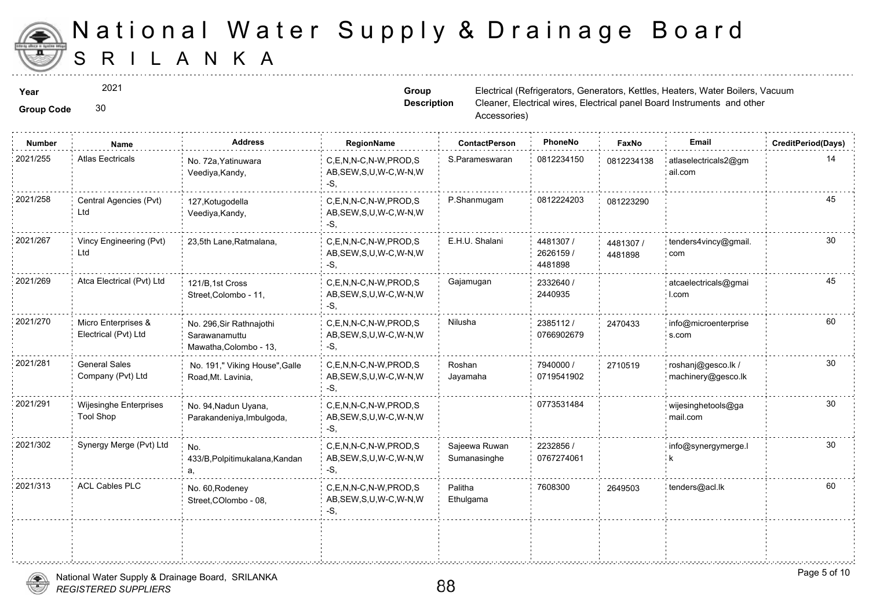

2021

**Group Code** 30

**Group Description**

| <b>Number</b> | Name                                              | <b>Address</b>                                                      | RegionName                                                  | <b>ContactPerson</b>          | PhoneNo                           | Faxl             |
|---------------|---------------------------------------------------|---------------------------------------------------------------------|-------------------------------------------------------------|-------------------------------|-----------------------------------|------------------|
| 2021/255      | <b>Atlas Eectricals</b>                           | No. 72a, Yatinuwara<br>Veediya, Kandy,                              | C,E,N,N-C,N-W,PROD,S<br>AB, SEW, S, U, W-C, W-N, W<br>$-S,$ | S.Parameswaran                | 0812234150                        | 081223           |
| 2021/258      | Central Agencies (Pvt)<br>Ltd                     | 127, Kotugodella<br>Veediya, Kandy,                                 | C,E,N,N-C,N-W,PROD,S<br>AB, SEW, S, U, W-C, W-N, W<br>-S,   | P.Shanmugam                   | 0812224203                        | 081223           |
| 2021/267      | Vincy Engineering (Pvt)<br>Ltd                    | 23,5th Lane, Ratmalana,                                             | C,E,N,N-C,N-W,PROD,S<br>AB, SEW, S, U, W-C, W-N, W<br>$-S.$ | E.H.U. Shalani                | 4481307 /<br>2626159 /<br>4481898 | 448130<br>448189 |
| 2021/269      | Atca Electrical (Pvt) Ltd                         | 121/B, 1st Cross<br>Street, Colombo - 11,                           | C,E,N,N-C,N-W,PROD,S<br>AB, SEW, S, U, W-C, W-N, W<br>-S.   | Gajamugan                     | 2332640 /<br>2440935              |                  |
| 2021/270      | Micro Enterprises &<br>Electrical (Pvt) Ltd       | No. 296, Sir Rathnajothi<br>Sarawanamuttu<br>Mawatha, Colombo - 13, | C,E,N,N-C,N-W,PROD,S<br>AB, SEW, S, U, W-C, W-N, W<br>$-S,$ | Nilusha                       | 2385112/<br>0766902679            | 247043           |
| 2021/281      | <b>General Sales</b><br>Company (Pvt) Ltd         | No. 191," Viking House", Galle<br>Road, Mt. Lavinia,                | C,E,N,N-C,N-W,PROD,S<br>AB, SEW, S, U, W-C, W-N, W<br>-S.   | Roshan<br>Jayamaha            | 7940000 /<br>0719541902           | 271051           |
| 2021/291      | <b>Wijesinghe Enterprises</b><br><b>Tool Shop</b> | No. 94, Nadun Uyana,<br>Parakandeniya, Imbulgoda,                   | C,E,N,N-C,N-W,PROD,S<br>AB, SEW, S, U, W-C, W-N, W<br>-S,   |                               | 0773531484                        |                  |
| 2021/302      | Synergy Merge (Pvt) Ltd                           | No.<br>433/B, Polpitimukalana, Kandan<br>a.                         | C,E,N,N-C,N-W,PROD,S<br>AB, SEW, S, U, W-C, W-N, W<br>$-S.$ | Sajeewa Ruwan<br>Sumanasinghe | 2232856 /<br>0767274061           |                  |
| 2021/313      | <b>ACL Cables PLC</b>                             | No. 60, Rodeney<br>Street, COlombo - 08,                            | C,E,N,N-C,N-W,PROD,S<br>AB, SEW, S, U, W-C, W-N, W<br>-S,   | Palitha<br>Ethulgama          | 7608300                           | 264950           |
|               |                                                   |                                                                     |                                                             |                               |                                   |                  |

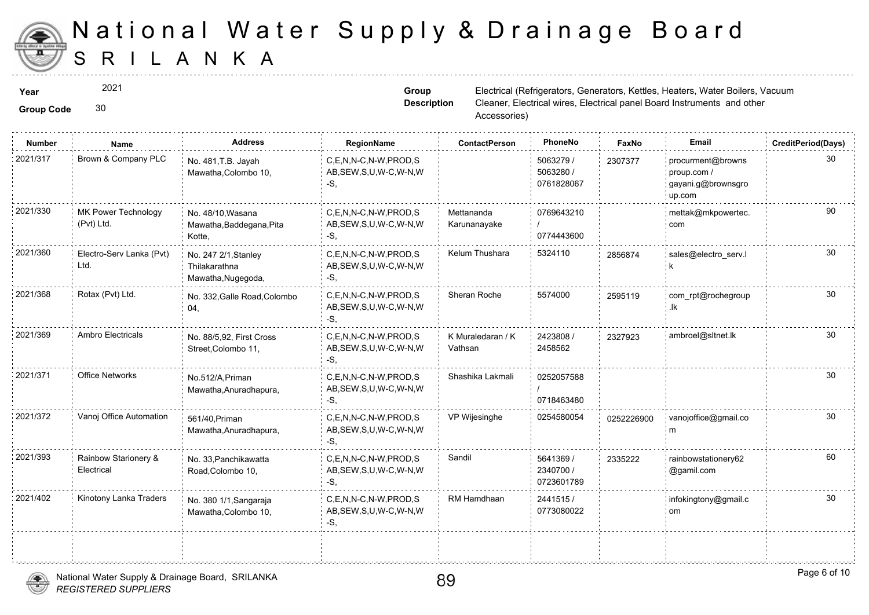

2021

Group Code 30

**Group Description**

| <b>Number</b> | Name                               | <b>Address</b>                                              | RegionName                                                   | <b>ContactPerson</b>         | PhoneNo                              | Faxl   |
|---------------|------------------------------------|-------------------------------------------------------------|--------------------------------------------------------------|------------------------------|--------------------------------------|--------|
| 2021/317      | Brown & Company PLC                | No. 481, T.B. Jayah<br>Mawatha, Colombo 10,                 | C,E,N,N-C,N-W,PROD,S<br>AB, SEW, S, U, W-C, W-N, W<br>$-S$ . |                              | 5063279 /<br>5063280 /<br>0761828067 | 230737 |
| 2021/330      | MK Power Technology<br>(Pvt) Ltd.  | No. 48/10, Wasana<br>Mawatha, Baddegana, Pita<br>Kotte,     | C,E,N,N-C,N-W,PROD,S<br>AB, SEW, S, U, W-C, W-N, W<br>-S,    | Mettananda<br>Karunanayake   | 0769643210<br>0774443600             |        |
| 2021/360      | Electro-Serv Lanka (Pvt)<br>Ltd.   | No. 247 2/1, Stanley<br>Thilakarathna<br>Mawatha, Nugegoda, | C,E,N,N-C,N-W,PROD,S<br>AB, SEW, S, U, W-C, W-N, W<br>-S.    | Kelum Thushara               | 5324110                              | 285687 |
| 2021/368      | Rotax (Pvt) Ltd.                   | No. 332, Galle Road, Colombo<br>04,                         | C.E.N.N-C.N-W.PROD.S<br>AB, SEW, S, U, W-C, W-N, W<br>$-S$ . | Sheran Roche                 | 5574000                              | 25951  |
| 2021/369      | <b>Ambro Electricals</b>           | No. 88/5,92, First Cross<br>Street, Colombo 11,             | C,E,N,N-C,N-W,PROD,S<br>AB, SEW, S, U, W-C, W-N, W<br>-S,    | K Muraledaran / K<br>Vathsan | 2423808 /<br>2458562                 | 232792 |
| 2021/371      | <b>Office Networks</b>             | No.512/A, Priman<br>Mawatha, Anuradhapura,                  | C.E.N.N-C.N-W.PROD.S<br>AB, SEW, S, U, W-C, W-N, W<br>-S,    | Shashika Lakmali             | 0252057588<br>0718463480             |        |
| 2021/372      | Vanoj Office Automation            | 561/40, Priman<br>Mawatha, Anuradhapura,                    | C,E,N,N-C,N-W,PROD,S<br>AB, SEW, S, U, W-C, W-N, W<br>-S,    | VP Wijesinghe                | 0254580054                           | 025222 |
| 2021/393      | Rainbow Starionery &<br>Electrical | No. 33, Panchikawatta<br>Road, Colombo 10,                  | C,E,N,N-C,N-W,PROD,S<br>AB, SEW, S, U, W-C, W-N, W<br>-S.    | Sandil                       | 5641369 /<br>2340700 /<br>0723601789 | 233522 |
| 2021/402      | Kinotony Lanka Traders             | No. 380 1/1, Sangaraja<br>Mawatha, Colombo 10,              | C,E,N,N-C,N-W,PROD,S<br>AB, SEW, S, U, W-C, W-N, W<br>$-S$ , | RM Hamdhaan                  | 2441515/<br>0773080022               |        |
|               |                                    |                                                             |                                                              |                              |                                      |        |



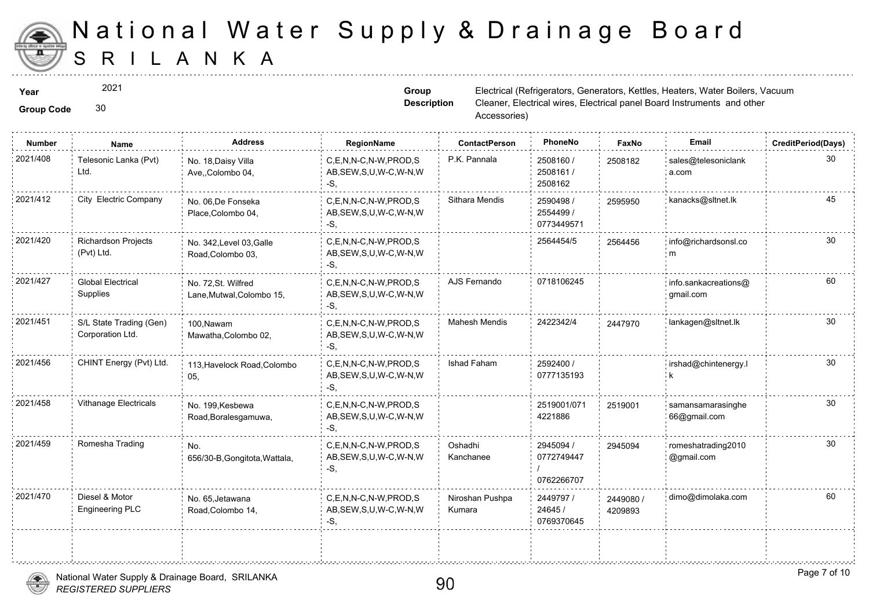

2021

#### Group Code 30

**Group Description**

| <b>Number</b> | <b>Name</b>                                 | <b>Address</b>                                   | RegionName                                                   | <b>ContactPerson</b>      | PhoneNo                               | Faxl             |
|---------------|---------------------------------------------|--------------------------------------------------|--------------------------------------------------------------|---------------------------|---------------------------------------|------------------|
| 2021/408      | Telesonic Lanka (Pvt)<br>Ltd.               | No. 18, Daisy Villa<br>Ave., Colombo 04,         | C,E,N,N-C,N-W,PROD,S<br>AB, SEW, S, U, W-C, W-N, W<br>-S.    | P.K. Pannala              | 2508160 /<br>2508161 /<br>2508162     | 250818           |
| 2021/412      | City Electric Company                       | No. 06, De Fonseka<br>Place, Colombo 04,         | C,E,N,N-C,N-W,PROD,S<br>AB, SEW, S, U, W-C, W-N, W<br>$-S.$  | Sithara Mendis            | 2590498 /<br>2554499 /<br>0773449571  | 259595           |
| 2021/420      | <b>Richardson Projects</b><br>(Pvt) Ltd.    | No. 342, Level 03, Galle<br>Road, Colombo 03,    | C.E.N.N-C.N-W.PROD.S<br>AB, SEW, S, U, W-C, W-N, W<br>-S.    |                           | 2564454/5                             | 256445           |
| 2021/427      | <b>Global Electrical</b><br>Supplies        | No. 72, St. Wilfred<br>Lane, Mutwal, Colombo 15, | C.E.N.N-C.N-W.PROD.S<br>AB, SEW, S, U, W-C, W-N, W<br>-S.    | AJS Fernando              | 0718106245                            |                  |
| 2021/451      | S/L State Trading (Gen)<br>Corporation Ltd. | 100, Nawam<br>Mawatha, Colombo 02,               | C.E.N.N-C.N-W.PROD.S<br>AB, SEW, S, U, W-C, W-N, W<br>$-S$ . | Mahesh Mendis             | 2422342/4                             | 244797           |
| 2021/456      | CHINT Energy (Pvt) Ltd.                     | 113, Havelock Road, Colombo<br>05,               | C.E.N.N-C.N-W.PROD.S<br>AB, SEW, S, U, W-C, W-N, W<br>-S.    | Ishad Faham               | 2592400 /<br>0777135193               |                  |
| 2021/458      | <b>Vithanage Electricals</b>                | No. 199, Kesbewa<br>Road, Boralesgamuwa,         | C,E,N,N-C,N-W,PROD,S<br>AB, SEW, S, U, W-C, W-N, W<br>-S,    |                           | 2519001/071<br>4221886                | 251900           |
| 2021/459      | Romesha Trading                             | No.<br>656/30-B, Gongitota, Wattala,             | C,E,N,N-C,N-W,PROD,S<br>AB, SEW, S, U, W-C, W-N, W<br>$-S$ . | Oshadhi<br>Kanchanee      | 2945094 /<br>0772749447<br>0762266707 | 294509           |
| 2021/470      | Diesel & Motor<br><b>Engineering PLC</b>    | No. 65, Jetawana<br>Road, Colombo 14,            | C.E.N.N-C.N-W.PROD.S<br>AB, SEW, S, U, W-C, W-N, W<br>-S,    | Niroshan Pushpa<br>Kumara | 2449797 /<br>24645 /<br>0769370645    | 244908<br>420989 |
|               |                                             |                                                  |                                                              |                           |                                       |                  |

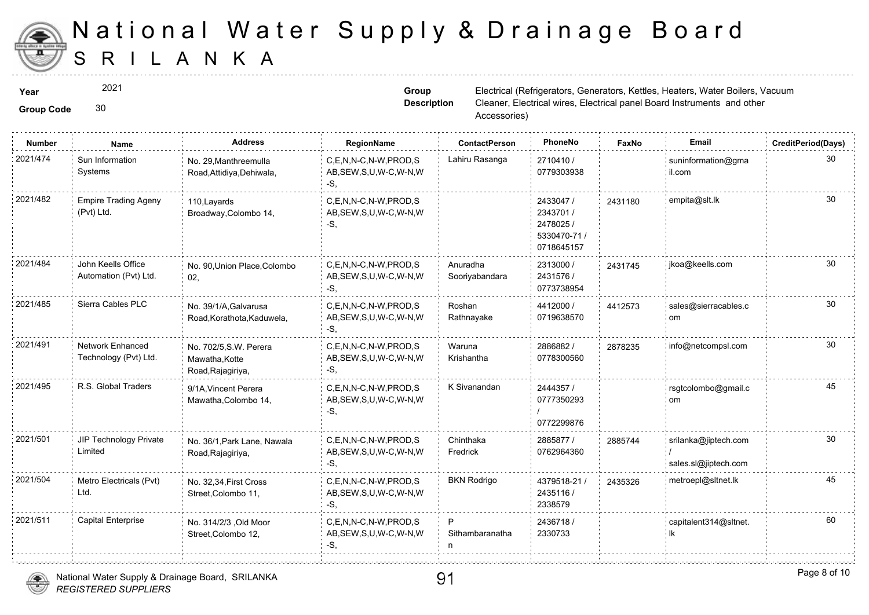

2021

Group Code 30

**Group Description**

| <b>Number</b> | Name                                        | <b>Address</b>                                                | <b>RegionName</b>                                            | <b>ContactPerson</b>       | PhoneNo                                                           | Faxl   |
|---------------|---------------------------------------------|---------------------------------------------------------------|--------------------------------------------------------------|----------------------------|-------------------------------------------------------------------|--------|
| 2021/474      | Sun Information<br>Systems                  | No. 29, Manthreemulla<br>Road, Attidiya, Dehiwala,            | C,E,N,N-C,N-W,PROD,S<br>AB, SEW, S, U, W-C, W-N, W<br>$-S$ . | Lahiru Rasanga             | 2710410 /<br>0779303938                                           |        |
| 2021/482      | <b>Empire Trading Ageny</b><br>(Pvt) Ltd.   | 110, Layards<br>Broadway, Colombo 14,                         | C,E,N,N-C,N-W,PROD,S<br>AB, SEW, S, U, W-C, W-N, W<br>-S.    |                            | 2433047 /<br>2343701 /<br>2478025 /<br>5330470-71 /<br>0718645157 | 243118 |
| 2021/484      | John Keells Office<br>Automation (Pvt) Ltd. | No. 90, Union Place, Colombo<br>02,                           | C,E,N,N-C,N-W,PROD,S<br>AB, SEW, S, U, W-C, W-N, W<br>-S.    | Anuradha<br>Sooriyabandara | 2313000 /<br>2431576 /<br>0773738954                              | 243174 |
| 2021/485      | Sierra Cables PLC                           | No. 39/1/A, Galvarusa<br>Road, Korathota, Kaduwela,           | C,E,N,N-C,N-W,PROD,S<br>AB, SEW, S, U, W-C, W-N, W<br>-S,    | Roshan<br>Rathnayake       | 4412000 /<br>0719638570                                           | 441257 |
| 2021/491      | Network Enhanced<br>Technology (Pvt) Ltd.   | No. 702/5, S.W. Perera<br>Mawatha, Kotte<br>Road, Rajagiriya, | C.E.N.N-C.N-W.PROD.S<br>AB, SEW, S, U, W-C, W-N, W<br>-S,    | Waruna<br>Krishantha       | 2886882/<br>0778300560                                            | 287823 |
| 2021/495      | R.S. Global Traders                         | 9/1A, Vincent Perera<br>Mawatha, Colombo 14,                  | C.E.N.N-C.N-W.PROD.S<br>AB, SEW, S, U, W-C, W-N, W<br>$-S$ . | K Sivanandan               | 2444357 /<br>0777350293<br>0772299876                             |        |
| 2021/501      | JIP Technology Private<br>Limited           | No. 36/1, Park Lane, Nawala<br>Road, Rajagiriya,              | C.E.N.N-C.N-W.PROD.S<br>AB, SEW, S, U, W-C, W-N, W<br>-S.    | Chinthaka<br>Fredrick      | 2885877/<br>0762964360                                            | 288574 |
| 2021/504      | Metro Electricals (Pvt)<br>Ltd.             | No. 32,34, First Cross<br>Street, Colombo 11,                 | C,E,N,N-C,N-W,PROD,S<br>AB, SEW, S, U, W-C, W-N, W<br>-S.    | <b>BKN Rodrigo</b>         | 4379518-21 /<br>2435116 /<br>2338579                              | 243532 |
| 2021/511      | <b>Capital Enterprise</b>                   | No. 314/2/3 , Old Moor<br>Street, Colombo 12,                 | C.E.N.N-C.N-W.PROD.S<br>AB, SEW, S, U, W-C, W-N, W<br>-S,    | P<br>Sithambaranatha       | 2436718 /<br>2330733                                              |        |
|               |                                             |                                                               |                                                              |                            |                                                                   |        |

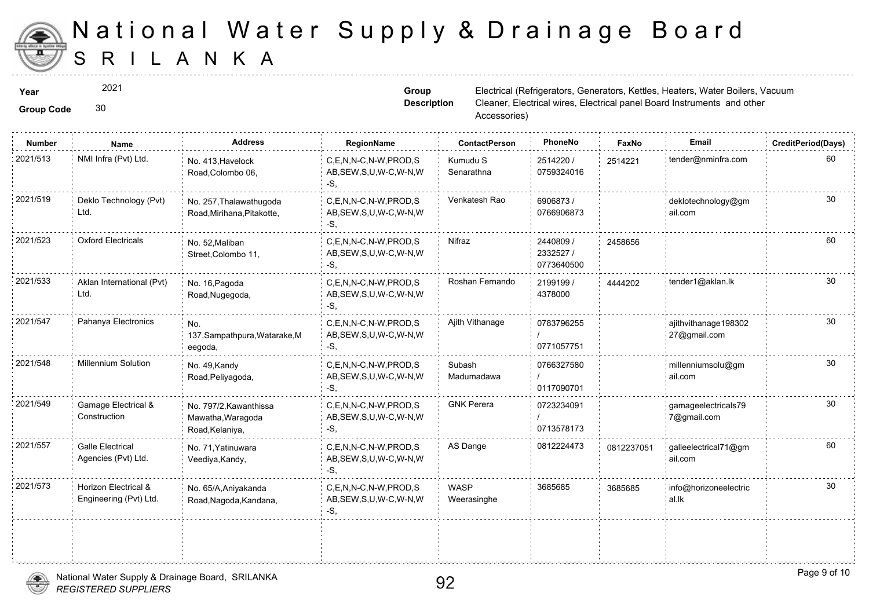

2021

**Group Code** 30

**Group Description**

| Number   | Name                                           | <b>Address</b>                                                 | RegionName                                                   | <b>ContactPerson</b>       | PhoneNo                             | Faxl   |
|----------|------------------------------------------------|----------------------------------------------------------------|--------------------------------------------------------------|----------------------------|-------------------------------------|--------|
| 2021/513 | NMI Infra (Pvt) Ltd.                           | No. 413, Havelock<br>Road, Colombo 06,                         | C,E,N,N-C,N-W,PROD,S<br>AB, SEW, S, U, W-C, W-N, W<br>-S,    | Kumudu S<br>Senarathna     | 2514220 /<br>0759324016             | 251422 |
| 2021/519 | Deklo Technology (Pvt)<br>Ltd.                 | No. 257, Thalawathugoda<br>Road, Mirihana, Pitakotte,          | C,E,N,N-C,N-W,PROD,S<br>AB, SEW, S, U, W-C, W-N, W<br>-S,    | Venkatesh Rao              | 6906873/<br>0766906873              |        |
| 2021/523 | <b>Oxford Electricals</b>                      | No. 52, Maliban<br>Street, Colombo 11,                         | C,E,N,N-C,N-W,PROD,S<br>AB, SEW, S, U, W-C, W-N, W<br>-S,    | Nifraz                     | 2440809 /<br>2332527/<br>0773640500 | 245865 |
| 2021/533 | Aklan International (Pvt)<br>Ltd.              | No. 16, Pagoda<br>Road, Nugegoda,                              | C,E,N,N-C,N-W,PROD,S<br>AB, SEW, S, U, W-C, W-N, W<br>-S,    | Roshan Fernando            | 2199199 /<br>4378000                | 444420 |
| 2021/547 | Pahanya Electronics                            | No.<br>137, Sampathpura, Watarake, M<br>eegoda,                | C.E.N.N-C.N-W.PROD.S<br>AB, SEW, S, U, W-C, W-N, W<br>$-S$ , | Ajith Vithanage            | 0783796255<br>0771057751            |        |
| 2021/548 | <b>Millennium Solution</b>                     | No. 49, Kandy<br>Road, Peliyagoda,                             | C.E.N.N-C.N-W.PROD.S<br>AB, SEW, S, U, W-C, W-N, W<br>-S.    | Subash<br>Madumadawa       | 0766327580<br>0117090701            |        |
| 2021/549 | Gamage Electrical &<br>Construction            | No. 797/2, Kawanthissa<br>Mawatha, Waragoda<br>Road, Kelaniya, | C,E,N,N-C,N-W,PROD,S<br>AB, SEW, S, U, W-C, W-N, W<br>-S.    | <b>GNK Perera</b>          | 0723234091<br>0713578173            |        |
| 2021/557 | <b>Galle Electrical</b><br>Agencies (Pvt) Ltd. | No. 71, Yatinuwara<br>Veediya, Kandy,                          | C.E.N.N-C.N-W.PROD.S<br>AB, SEW, S, U, W-C, W-N, W<br>$-S$ . | AS Dange                   | 0812224473                          | 081223 |
| 2021/573 | Horizon Electrical &<br>Engineering (Pvt) Ltd. | No. 65/A, Aniyakanda<br>Road, Nagoda, Kandana,                 | C,E,N,N-C,N-W,PROD,S<br>AB, SEW, S, U, W-C, W-N, W<br>-S.    | <b>WASP</b><br>Weerasinghe | 3685685                             | 368568 |
|          |                                                |                                                                |                                                              |                            |                                     |        |
|          |                                                |                                                                |                                                              |                            |                                     |        |